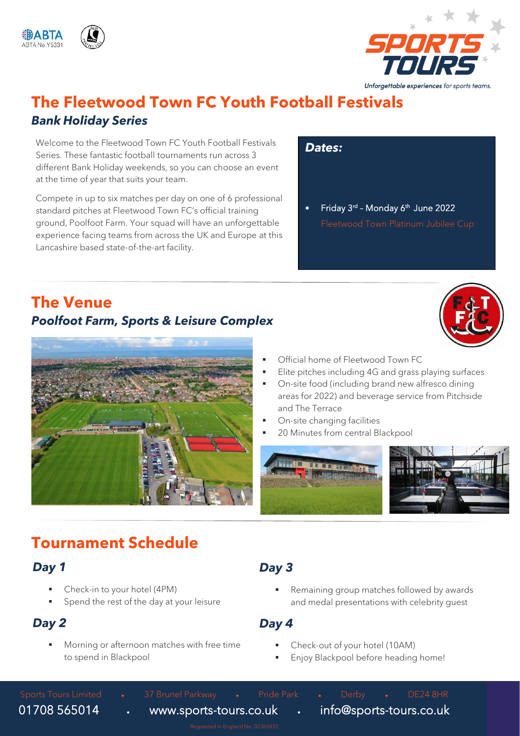





## **The Fleetwood Town FC Youth Football Festivals** *Bank Holiday Series*

Welcome to the Fleetwood Town FC Youth Football Festivals Series. These fantastic football tournaments run across 3 different Bank Holiday weekends, so you can choose an event at the time of year that suits your team.

Compete in up to six matches per day on one of 6 professional standard pitches at Fleetwood Town FC's official training ground, Poolfoot Farm. Your squad will have an unforgettable experience facing teams from across the UK and Europe at this Lancashire based state-of-the-art facility.

*Dates:*

• Friday 3<sup>rd</sup> - Monday 6<sup>th</sup> June 2022

## **The Venue** *Poolfoot Farm, Sports & Leisure Complex*





- Official home of Fleetwood Town FC
- Elite pitches including 4G and grass playing surfaces
- On-site food (including brand new alfresco dining areas for 2022) and beverage service from Pitchside and The Terrace
- On-site changing facilities
- 20 Minutes from central Blackpool



# **Tournament Schedule**

### *Day 1*

- Check-in to your hotel (4PM)
- Spend the rest of the day at your leisure

### *Day 2*

Morning or afternoon matches with free time to spend in Blackpool

### *Day 3*

Remaining group matches followed by awards and medal presentations with celebrity guest

### *Day 4*

- Check-out of your hotel (10AM)
- Enjoy Blackpool before heading home!

Sports Tours Limited • 37 Brunel Parkway • Pride Park • Derby • DE24 8HR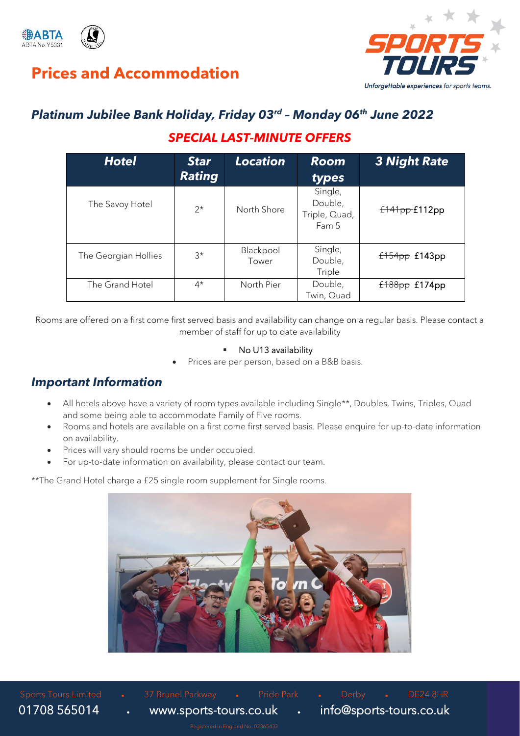

# **Prices and Accommodation**



# *Platinum Jubilee Bank Holiday, Friday 03rd – Monday 06 th June 2022*

### *SPECIAL LAST-MINUTE OFFERS*

| <b>Hotel</b>         | <b>Star</b><br><b>Rating</b> | <b>Location</b>    | <b>Room</b><br>types                         | <b>3 Night Rate</b> |
|----------------------|------------------------------|--------------------|----------------------------------------------|---------------------|
| The Savoy Hotel      | $2^*$                        | North Shore        | Single,<br>Double,<br>Triple, Quad,<br>Fam 5 | f141pp f112pp       |
| The Georgian Hollies | $3^{\star}$                  | Blackpool<br>Tower | Single,<br>Double,<br>Triple                 | f154pp f143pp       |
| The Grand Hotel      | $4^{\star}$                  | North Pier         | Double,<br>Twin, Quad                        | f188pp f174pp       |

Rooms are offered on a first come first served basis and availability can change on a regular basis. Please contact a member of staff for up to date availability

#### ▪ No U13 availability

• Prices are per person, based on a B&B basis.

### *Important Information*

- All hotels above have a variety of room types available including Single\*\*, Doubles, Twins, Triples, Quad and some being able to accommodate Family of Five rooms.
- Rooms and hotels are available on a first come first served basis. Please enquire for up-to-date information on availability.
- Prices will vary should rooms be under occupied.
- For up-to-date information on availability, please contact our team.

\*\*The Grand Hotel charge a £25 single room supplement for Single rooms.

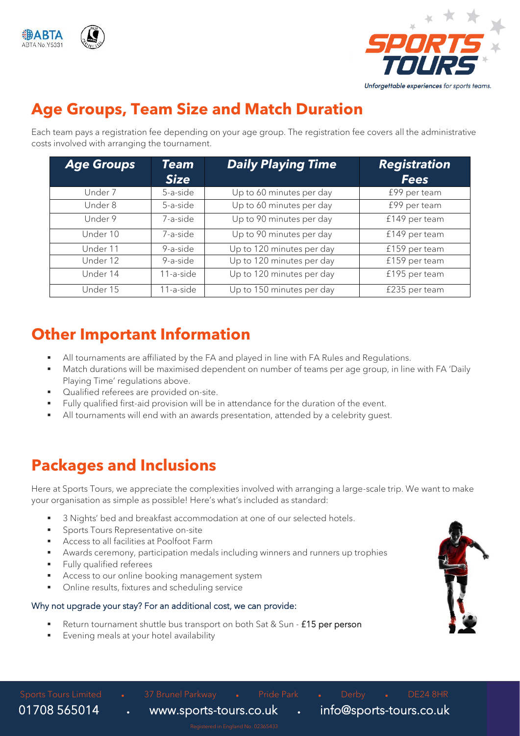



# **Age Groups, Team Size and Match Duration**

Each team pays a registration fee depending on your age group. The registration fee covers all the administrative costs involved with arranging the tournament.

| <b>Age Groups</b> | <b>Team</b><br><b>Size</b> | <b>Daily Playing Time</b> | <b>Registration</b><br><b>Fees</b> |
|-------------------|----------------------------|---------------------------|------------------------------------|
| Under 7           | 5-a-side                   | Up to 60 minutes per day  | £99 per team                       |
| Under 8           | 5-a-side                   | Up to 60 minutes per day  | £99 per team                       |
| Under 9           | 7-a-side                   | Up to 90 minutes per day  | £149 per team                      |
| Under 10          | 7-a-side                   | Up to 90 minutes per day  | £149 per team                      |
| Under 11          | 9-a-side                   | Up to 120 minutes per day | £159 per team                      |
| Under 12          | 9-a-side                   | Up to 120 minutes per day | £159 per team                      |
| Under 14          | 11-a-side                  | Up to 120 minutes per day | £195 per team                      |
| Under 15          | 11-a-side                  | Up to 150 minutes per day | £235 per team                      |

# **Other Important Information**

- All tournaments are affiliated by the FA and played in line with FA Rules and Regulations.
- Match durations will be maximised dependent on number of teams per age group, in line with FA 'Daily Playing Time' regulations above.
- Qualified referees are provided on-site.
- Fully qualified first-aid provision will be in attendance for the duration of the event.
- All tournaments will end with an awards presentation, attended by a celebrity quest.

# **Packages and Inclusions**

Here at Sports Tours, we appreciate the complexities involved with arranging a large-scale trip. We want to make your organisation as simple as possible! Here's what's included as standard:

- 3 Nights' bed and breakfast accommodation at one of our selected hotels.
- Sports Tours Representative on-site
- Access to all facilities at Poolfoot Farm
- Awards ceremony, participation medals including winners and runners up trophies
- **Fully qualified referees**
- Access to our online booking management system
- Online results, fixtures and scheduling service

### Why not upgrade your stay? For an additional cost, we can provide:

- Return tournament shuttle bus transport on both Sat & Sun £15 per person
- Evening meals at your hotel availability



Sports Tours Limited • 37 Brunel Parkway • Pride Park • Derby • DE24 8HR